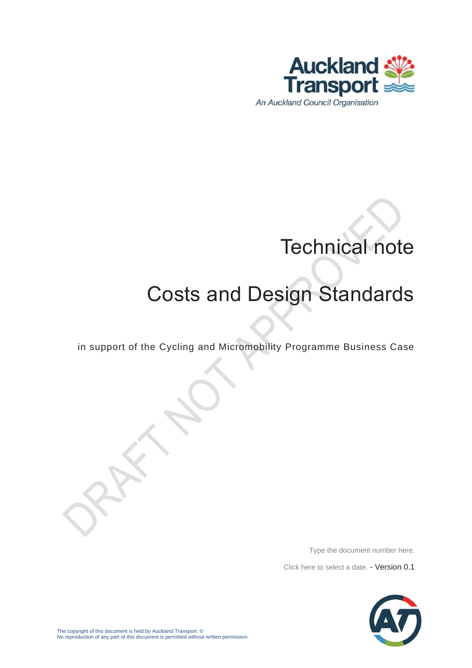

# Technical note

## Costs and Design Standards

in support of the Cycling and Micromobility Programme Business Case

Type the document number here.

Click here to select a date. - Version 0.1

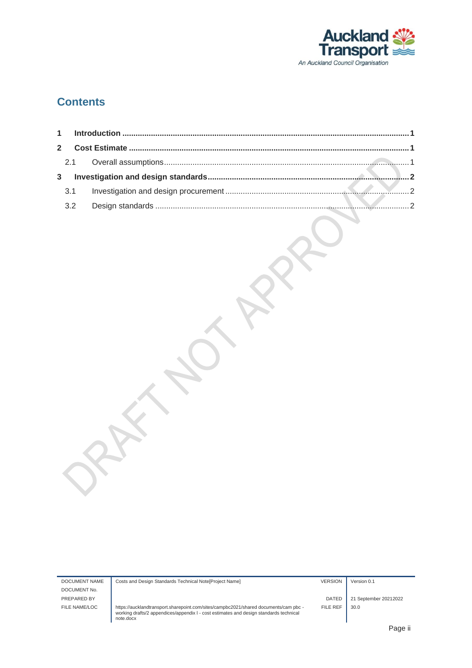

#### **Contents**

| $\mathbf{2}$ |     |  |
|--------------|-----|--|
|              |     |  |
| 3            |     |  |
|              | 3.1 |  |
|              | 3.2 |  |
|              |     |  |

| DOCUMENT NAME | Costs and Design Standards Technical Note[Project Name]                                                                                                                                     | <b>VERSION</b> | Version 0.1           |
|---------------|---------------------------------------------------------------------------------------------------------------------------------------------------------------------------------------------|----------------|-----------------------|
| DOCUMENT No.  |                                                                                                                                                                                             |                |                       |
| PREPARED BY   |                                                                                                                                                                                             | DATED          | 21 September 20212022 |
| FILE NAME/LOC | https://aucklandtransport.sharepoint.com/sites/campbc2021/shared documents/cam pbc -<br>working drafts/2 appendices/appendix I - cost estimates and design standards technical<br>note.docx | FILE REF       | 30.0                  |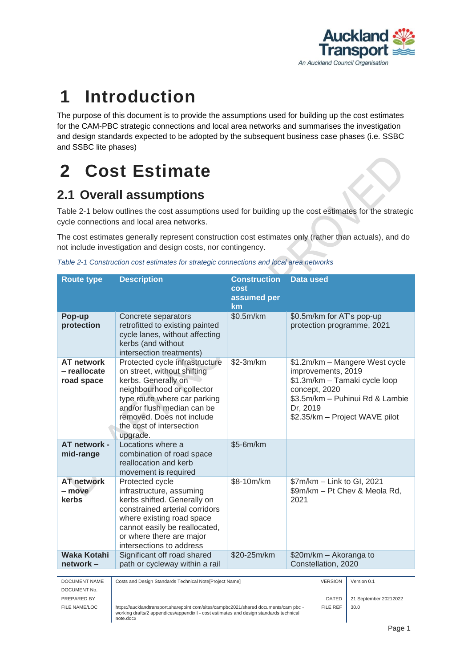

### <span id="page-2-0"></span>**1 Introduction**

The purpose of this document is to provide the assumptions used for building up the cost estimates for the CAM-PBC strategic connections and local area networks and summarises the investigation and design standards expected to be adopted by the subsequent business case phases (i.e. SSBC and SSBC lite phases)

## <span id="page-2-1"></span>**2 Cost Estimate**

### <span id="page-2-2"></span>**2.1 Overall assumptions**

[Table 2-1](#page-2-3) below outlines the cost assumptions used for building up the cost estimates for the strategic cycle connections and local area networks.

The cost estimates generally represent construction cost estimates only (rather than actuals), and do not include investigation and design costs, nor contingency.

<span id="page-2-3"></span>

| Table 2-1 Construction cost estimates for strategic connections and local area networks |  |  |  |  |  |
|-----------------------------------------------------------------------------------------|--|--|--|--|--|
|                                                                                         |  |  |  |  |  |

| <b>Route type</b>                                                                                                                                                                                                                                                                                        | <b>Description</b>                                                                                                                                                                                                                 | <b>Construction</b><br>cost<br>assumed per<br>km | <b>Data used</b>                                                                                                                                                                        |                                      |  |
|----------------------------------------------------------------------------------------------------------------------------------------------------------------------------------------------------------------------------------------------------------------------------------------------------------|------------------------------------------------------------------------------------------------------------------------------------------------------------------------------------------------------------------------------------|--------------------------------------------------|-----------------------------------------------------------------------------------------------------------------------------------------------------------------------------------------|--------------------------------------|--|
| Pop-up<br>protection                                                                                                                                                                                                                                                                                     | Concrete separators<br>retrofitted to existing painted<br>cycle lanes, without affecting<br>kerbs (and without<br>intersection treatments)                                                                                         | \$0.5m/km                                        | \$0.5m/km for AT's pop-up<br>protection programme, 2021                                                                                                                                 |                                      |  |
| <b>AT network</b><br>Protected cycle infrastructure<br>- reallocate<br>on street, without shifting<br>road space<br>kerbs. Generally on<br>neighbourhood or collector<br>type route where car parking<br>and/or flush median can be<br>removed. Does not include<br>the cost of intersection<br>upgrade. |                                                                                                                                                                                                                                    | \$2-3m/km                                        | \$1.2m/km - Mangere West cycle<br>improvements, 2019<br>\$1.3m/km - Tamaki cycle loop<br>concept, 2020<br>\$3.5m/km - Puhinui Rd & Lambie<br>Dr, 2019<br>\$2.35/km - Project WAVE pilot |                                      |  |
| AT network -<br>mid-range                                                                                                                                                                                                                                                                                | Locations where a<br>combination of road space<br>reallocation and kerb<br>movement is required                                                                                                                                    | \$5-6m/km                                        |                                                                                                                                                                                         |                                      |  |
| <b>AT network</b><br>– move<br>kerbs                                                                                                                                                                                                                                                                     | Protected cycle<br>infrastructure, assuming<br>kerbs shifted. Generally on<br>constrained arterial corridors<br>where existing road space<br>cannot easily be reallocated,<br>or where there are major<br>intersections to address | \$8-10m/km                                       | \$7m/km - Link to GI, 2021<br>\$9m/km - Pt Chev & Meola Rd,<br>2021                                                                                                                     |                                      |  |
| <b>Waka Kotahi</b>                                                                                                                                                                                                                                                                                       | Significant off road shared                                                                                                                                                                                                        | \$20-25m/km                                      | \$20m/km - Akoranga to<br>Constellation, 2020                                                                                                                                           |                                      |  |
| network-                                                                                                                                                                                                                                                                                                 | path or cycleway within a rail                                                                                                                                                                                                     |                                                  |                                                                                                                                                                                         |                                      |  |
| DOCUMENT NAME<br>DOCUMENT No.<br>PREPARED BY                                                                                                                                                                                                                                                             | Costs and Design Standards Technical Note[Project Name]                                                                                                                                                                            |                                                  | <b>VERSION</b><br><b>DATED</b>                                                                                                                                                          | Version 0.1<br>21 September 20212022 |  |
| FILE NAME/LOC<br><b>FILE REF</b><br>https://aucklandtransport.sharepoint.com/sites/campbc2021/shared documents/cam pbc -<br>working drafts/2 appendices/appendix I - cost estimates and design standards technical<br>note.docx                                                                          |                                                                                                                                                                                                                                    |                                                  |                                                                                                                                                                                         | 30.0                                 |  |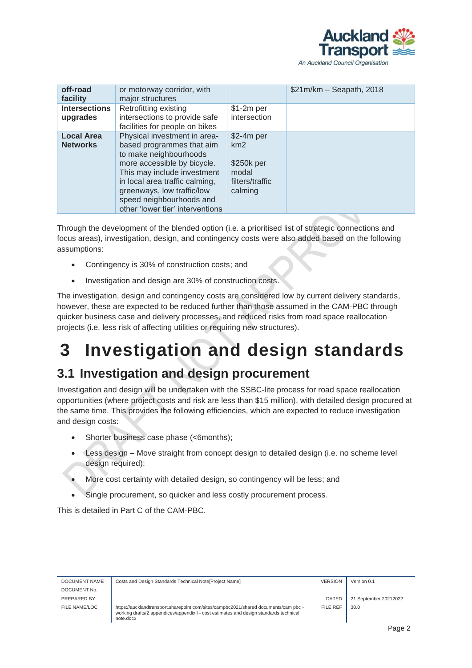

| off-road<br>facility                 | or motorway corridor, with<br>major structures                                                                                                                                                                                                                                    |                                                                         | $$21m/km - Seapath, 2018$ |
|--------------------------------------|-----------------------------------------------------------------------------------------------------------------------------------------------------------------------------------------------------------------------------------------------------------------------------------|-------------------------------------------------------------------------|---------------------------|
| <b>Intersections</b><br>upgrades     | Retrofitting existing<br>intersections to provide safe<br>facilities for people on bikes                                                                                                                                                                                          | $$1-2m$ per<br>intersection                                             |                           |
| <b>Local Area</b><br><b>Networks</b> | Physical investment in area-<br>based programmes that aim<br>to make neighbourhoods<br>more accessible by bicycle.<br>This may include investment<br>in local area traffic calming,<br>greenways, low traffic/low<br>speed neighbourhoods and<br>other 'lower tier' interventions | $$2-4m$ per<br>km2<br>\$250k per<br>modal<br>filters/traffic<br>calming |                           |

Through the development of the blended option (i.e. a prioritised list of strategic connections and focus areas), investigation, design, and contingency costs were also added based on the following assumptions:

- Contingency is 30% of construction costs; and
- Investigation and design are 30% of construction costs.

The investigation, design and contingency costs are considered low by current delivery standards, however, these are expected to be reduced further than those assumed in the CAM-PBC through quicker business case and delivery processes, and reduced risks from road space reallocation projects (i.e. less risk of affecting utilities or requiring new structures).

## <span id="page-3-0"></span>**3 Investigation and design standards**

#### <span id="page-3-1"></span>**3.1 Investigation and design procurement**

Investigation and design will be undertaken with the SSBC-lite process for road space reallocation opportunities (where project costs and risk are less than \$15 million), with detailed design procured at the same time. This provides the following efficiencies, which are expected to reduce investigation and design costs:

- Shorter business case phase (<6months);
- Less design Move straight from concept design to detailed design (i.e. no scheme level design required);
- More cost certainty with detailed design, so contingency will be less; and
- Single procurement, so quicker and less costly procurement process.

This is detailed in Part C of the CAM-PBC.

| DOCUMENT NAME | Costs and Design Standards Technical Note [Project Name]                                                                                                                                    | <b>VERSION</b> | Version 0.1           |
|---------------|---------------------------------------------------------------------------------------------------------------------------------------------------------------------------------------------|----------------|-----------------------|
| DOCUMENT No.  |                                                                                                                                                                                             |                |                       |
| PREPARED BY   |                                                                                                                                                                                             | <b>DATED</b>   | 21 September 20212022 |
| FILE NAME/LOC | https://aucklandtransport.sharepoint.com/sites/campbc2021/shared documents/cam pbc -<br>working drafts/2 appendices/appendix I - cost estimates and design standards technical<br>note.docx | FILE REF       | 30.0                  |